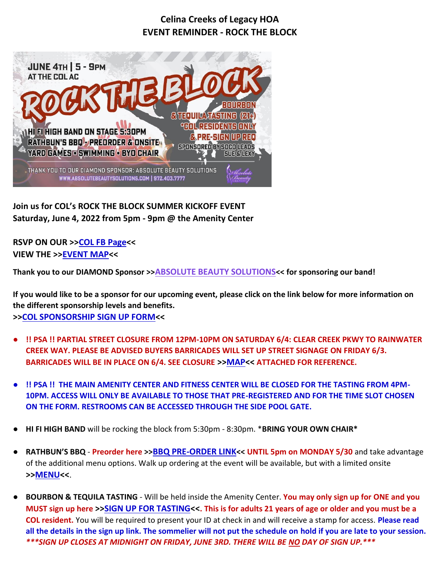## **Celina Creeks of Legacy HOA EVENT REMINDER - ROCK THE BLOCK**



**Join us for COL's ROCK THE BLOCK SUMMER KICKOFF EVENT Saturday, June 4, 2022 from 5pm - 9pm @ the Amenity Center**

**RSVP ON OUR >[>COL FB Page<](https://fb.me/e/3EuncLZgR)< VIEW THE >[>EVENT MAP<](https://drive.google.com/file/d/1EQqSfzd9O4uX5VDeDGruJSd0LtPHtZzl/view?usp=sharing)<**

**Thank you to our DIAMOND Sponsor >>[ABSOLUTE BEAUTY SOLUTIONS](http://www.absolutebeautysolutions.com/)<< for sponsoring our band!**

**If you would like to be a sponsor for our upcoming event, please click on the link below for more information on the different sponsorship levels and benefits. >[>COL SPONSORSHIP SIGN UP FORM<](https://bit.ly/3MX377B)<**

- **!! PSA !! PARTIAL STREET CLOSURE FROM 12PM-10PM ON SATURDAY 6/4: CLEAR CREEK PKWY TO RAINWATER CREEK WAY. PLEASE BE ADVISED BUYERS BARRICADES WILL SET UP STREET SIGNAGE ON FRIDAY 6/3. BARRICADES WILL BE IN PLACE ON 6/4. SEE CLOSURE >[>MAP<](https://drive.google.com/file/d/13f6oKPrjIvxOZyNF2mnDQ6OUSqSxh1iV/view?usp=sharing)< ATTACHED FOR REFERENCE.**
- **II PSA II THE MAIN AMENITY CENTER AND FITNESS CENTER WILL BE CLOSED FOR THE TASTING FROM 4PM-10PM. ACCESS WILL ONLY BE AVAILABLE TO THOSE THAT PRE-REGISTERED AND FOR THE TIME SLOT CHOSEN ON THE FORM. RESTROOMS CAN BE ACCESSED THROUGH THE SIDE POOL GATE.**
- **HI FI HIGH BAND** will be rocking the block from 5:30pm 8:30pm. \***BRING YOUR OWN CHAIR\***
- **RATHBUN'S BBQ Preorder here >>[BBQ PRE-ORDER LINK](https://bit.ly/37Jljmk)<< UNTIL 5pm on MONDAY 5/30** and take advantage of the additional menu options. Walk up ordering at the event will be available, but with a limited onsite **>[>MENU<](https://drive.google.com/file/d/163-R6zu9RYzYd_ik9n_5TypTGTYc89OG/view?usp=sharing)<**.
- **BOURBON & TEQUILA TASTING** Will be held inside the Amenity Center. You may only sign up for ONE and you **MUST sign up here >[>SIGN UP FOR TASTING<](https://bit.ly/3MUMoSv)<. This is for adults 21 years of age or older and you must be a COL resident.** You will be required to present your ID at check in and will receive a stamp for access. **Please read all the details in the sign up link. The sommelier will not put the schedule on hold if you are late to your session.**  *\*\*\*SIGN UP CLOSES AT MIDNIGHT ON FRIDAY, JUNE 3RD. THERE WILL BE NO DAY OF SIGN UP.\*\*\**